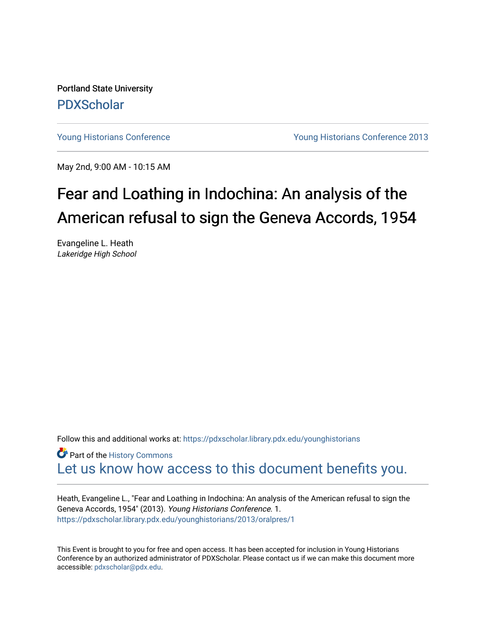Portland State University [PDXScholar](https://pdxscholar.library.pdx.edu/)

[Young Historians Conference](https://pdxscholar.library.pdx.edu/younghistorians) [Young Historians Conference 2013](https://pdxscholar.library.pdx.edu/younghistorians/2013) 

May 2nd, 9:00 AM - 10:15 AM

## Fear and Loathing in Indochina: An analysis of the American refusal to sign the Geneva Accords, 1954

Evangeline L. Heath Lakeridge High School

Follow this and additional works at: [https://pdxscholar.library.pdx.edu/younghistorians](https://pdxscholar.library.pdx.edu/younghistorians?utm_source=pdxscholar.library.pdx.edu%2Fyounghistorians%2F2013%2Foralpres%2F1&utm_medium=PDF&utm_campaign=PDFCoverPages)

**P** Part of the History Commons [Let us know how access to this document benefits you.](http://library.pdx.edu/services/pdxscholar-services/pdxscholar-feedback/) 

Heath, Evangeline L., "Fear and Loathing in Indochina: An analysis of the American refusal to sign the Geneva Accords, 1954" (2013). Young Historians Conference. 1. [https://pdxscholar.library.pdx.edu/younghistorians/2013/oralpres/1](https://pdxscholar.library.pdx.edu/younghistorians/2013/oralpres/1?utm_source=pdxscholar.library.pdx.edu%2Fyounghistorians%2F2013%2Foralpres%2F1&utm_medium=PDF&utm_campaign=PDFCoverPages) 

This Event is brought to you for free and open access. It has been accepted for inclusion in Young Historians Conference by an authorized administrator of PDXScholar. Please contact us if we can make this document more accessible: [pdxscholar@pdx.edu.](mailto:pdxscholar@pdx.edu)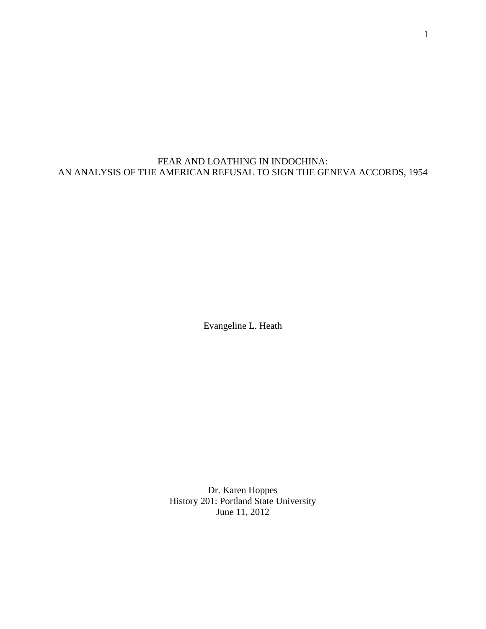FEAR AND LOATHING IN INDOCHINA: AN ANALYSIS OF THE AMERICAN REFUSAL TO SIGN THE GENEVA ACCORDS, 1954

Evangeline L. Heath

Dr. Karen Hoppes History 201: Portland State University June 11, 2012

1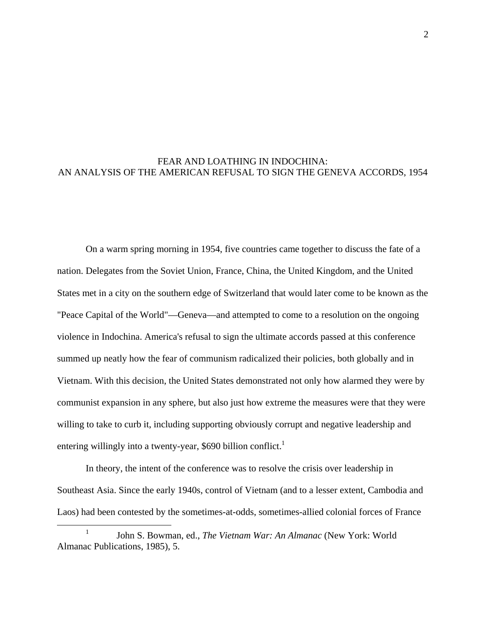## FEAR AND LOATHING IN INDOCHINA: AN ANALYSIS OF THE AMERICAN REFUSAL TO SIGN THE GENEVA ACCORDS, 1954

 On a warm spring morning in 1954, five countries came together to discuss the fate of a nation. Delegates from the Soviet Union, France, China, the United Kingdom, and the United States met in a city on the southern edge of Switzerland that would later come to be known as the "Peace Capital of the World"—Geneva—and attempted to come to a resolution on the ongoing violence in Indochina. America's refusal to sign the ultimate accords passed at this conference summed up neatly how the fear of communism radicalized their policies, both globally and in Vietnam. With this decision, the United States demonstrated not only how alarmed they were by communist expansion in any sphere, but also just how extreme the measures were that they were willing to take to curb it, including supporting obviously corrupt and negative leadership and entering willingly into a twenty-year, \$690 billion conflict.<sup>1</sup>

 In theory, the intent of the conference was to resolve the crisis over leadership in Southeast Asia. Since the early 1940s, control of Vietnam (and to a lesser extent, Cambodia and Laos) had been contested by the sometimes-at-odds, sometimes-allied colonial forces of France

<sup>&</sup>lt;u>1</u> John S. Bowman, ed., *The Vietnam War: An Almanac* (New York: World Almanac Publications, 1985), 5.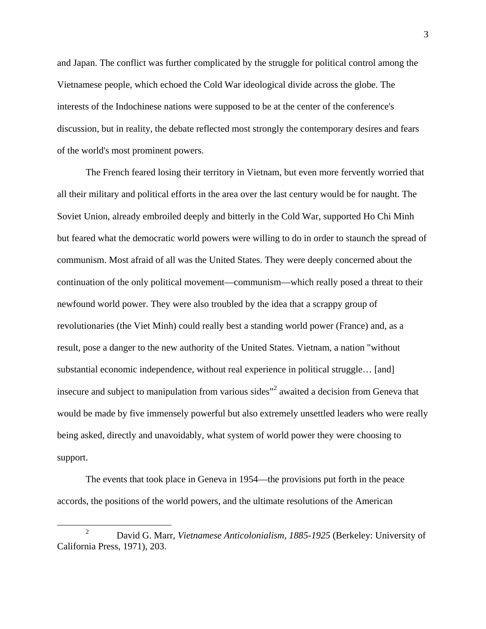and Japan. The conflict was further complicated by the struggle for political control among the Vietnamese people, which echoed the Cold War ideological divide across the globe. The interests of the Indochinese nations were supposed to be at the center of the conference's discussion, but in reality, the debate reflected most strongly the contemporary desires and fears of the world's most prominent powers.

The French feared losing their territory in Vietnam, but even more fervently worried that all their military and political efforts in the area over the last century would be for naught. The Soviet Union, already embroiled deeply and bitterly in the Cold War, supported Ho Chi Minh but feared what the democratic world powers were willing to do in order to staunch the spread of communism. Most afraid of all was the United States. They were deeply concerned about the continuation of the only political movement—communism—which really posed a threat to their newfound world power. They were also troubled by the idea that a scrappy group of revolutionaries (the Viet Minh) could really best a standing world power (France) and, as a result, pose a danger to the new authority of the United States. Vietnam, a nation "without substantial economic independence, without real experience in political struggle… [and] insecure and subject to manipulation from various sides<sup>"2</sup> awaited a decision from Geneva that would be made by five immensely powerful but also extremely unsettled leaders who were really being asked, directly and unavoidably, what system of world power they were choosing to support.

 The events that took place in Geneva in 1954—the provisions put forth in the peace accords, the positions of the world powers, and the ultimate resolutions of the American

 $\frac{1}{2}$  David G. Marr, *Vietnamese Anticolonialism, 1885-1925* (Berkeley: University of California Press, 1971), 203.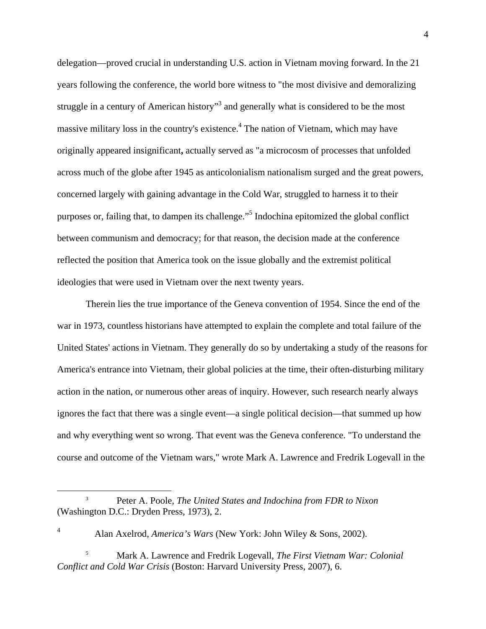delegation—proved crucial in understanding U.S. action in Vietnam moving forward. In the 21 years following the conference, the world bore witness to "the most divisive and demoralizing struggle in a century of American history<sup>33</sup> and generally what is considered to be the most massive military loss in the country's existence.<sup>4</sup> The nation of Vietnam, which may have originally appeared insignificant**,** actually served as "a microcosm of processes that unfolded across much of the globe after 1945 as anticolonialism nationalism surged and the great powers, concerned largely with gaining advantage in the Cold War, struggled to harness it to their purposes or, failing that, to dampen its challenge."<sup>5</sup> Indochina epitomized the global conflict between communism and democracy; for that reason, the decision made at the conference reflected the position that America took on the issue globally and the extremist political ideologies that were used in Vietnam over the next twenty years.

 Therein lies the true importance of the Geneva convention of 1954. Since the end of the war in 1973, countless historians have attempted to explain the complete and total failure of the United States' actions in Vietnam. They generally do so by undertaking a study of the reasons for America's entrance into Vietnam, their global policies at the time, their often-disturbing military action in the nation, or numerous other areas of inquiry. However, such research nearly always ignores the fact that there was a single event—a single political decision—that summed up how and why everything went so wrong. That event was the Geneva conference. "To understand the course and outcome of the Vietnam wars," wrote Mark A. Lawrence and Fredrik Logevall in the

 $\frac{1}{3}$  Peter A. Poole, *The United States and Indochina from FDR to Nixon* (Washington D.C.: Dryden Press, 1973), 2.

<sup>4</sup> Alan Axelrod, *America's Wars* (New York: John Wiley & Sons, 2002).

<sup>5</sup> Mark A. Lawrence and Fredrik Logevall, *The First Vietnam War: Colonial Conflict and Cold War Crisis* (Boston: Harvard University Press, 2007), 6.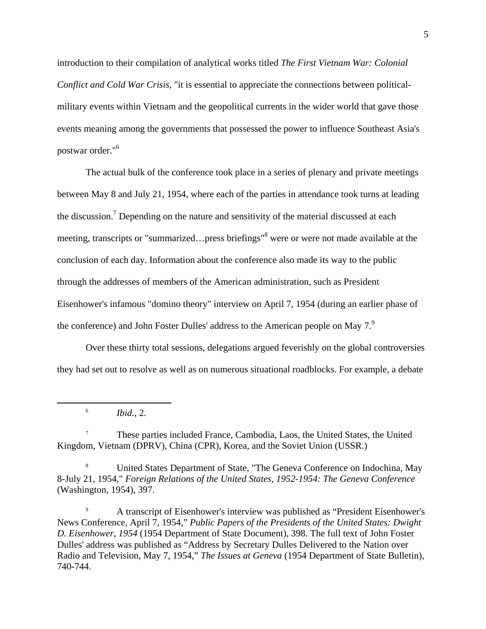introduction to their compilation of analytical works titled *The First Vietnam War: Colonial Conflict and Cold War Crisis*, "it is essential to appreciate the connections between politicalmilitary events within Vietnam and the geopolitical currents in the wider world that gave those events meaning among the governments that possessed the power to influence Southeast Asia's postwar order."6

 The actual bulk of the conference took place in a series of plenary and private meetings between May 8 and July 21, 1954, where each of the parties in attendance took turns at leading the discussion.<sup>7</sup> Depending on the nature and sensitivity of the material discussed at each meeting, transcripts or "summarized...press briefings"<sup>8</sup> were or were not made available at the conclusion of each day. Information about the conference also made its way to the public through the addresses of members of the American administration, such as President Eisenhower's infamous "domino theory" interview on April 7, 1954 (during an earlier phase of the conference) and John Foster Dulles' address to the American people on May  $7<sup>9</sup>$ 

Over these thirty total sessions, delegations argued feverishly on the global controversies they had set out to resolve as well as on numerous situational roadblocks. For example, a debate

*Ibid.,* 2.

6

7 These parties included France, Cambodia, Laos, the United States, the United Kingdom, Vietnam (DPRV), China (CPR), Korea, and the Soviet Union (USSR.)

8 United States Department of State, "The Geneva Conference on Indochina, May 8-July 21, 1954," *Foreign Relations of the United States, 1952-1954: The Geneva Conference* (Washington, 1954), 397.

9 A transcript of Eisenhower's interview was published as "President Eisenhower's News Conference, April 7, 1954," *Public Papers of the Presidents of the United States: Dwight D. Eisenhower, 1954* (1954 Department of State Document), 398. The full text of John Foster Dulles' address was published as "Address by Secretary Dulles Delivered to the Nation over Radio and Television, May 7, 1954," *The Issues at Geneva* (1954 Department of State Bulletin), 740-744.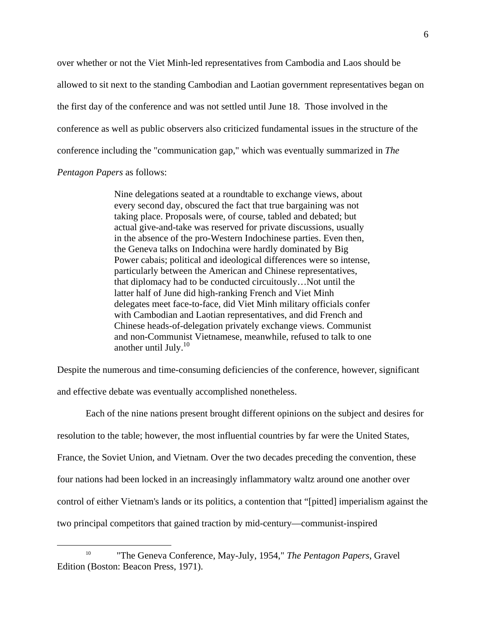over whether or not the Viet Minh-led representatives from Cambodia and Laos should be allowed to sit next to the standing Cambodian and Laotian government representatives began on the first day of the conference and was not settled until June 18. Those involved in the conference as well as public observers also criticized fundamental issues in the structure of the conference including the "communication gap," which was eventually summarized in *The Pentagon Papers* as follows:

Nine delegations seated at a roundtable to exchange views, about every second day, obscured the fact that true bargaining was not taking place. Proposals were, of course, tabled and debated; but actual give-and-take was reserved for private discussions, usually in the absence of the pro-Western Indochinese parties. Even then, the Geneva talks on Indochina were hardly dominated by Big Power cabais; political and ideological differences were so intense, particularly between the American and Chinese representatives, that diplomacy had to be conducted circuitously…Not until the latter half of June did high-ranking French and Viet Minh delegates meet face-to-face, did Viet Minh military officials confer with Cambodian and Laotian representatives, and did French and Chinese heads-of-delegation privately exchange views. Communist and non-Communist Vietnamese, meanwhile, refused to talk to one another until July. $^{10}$ 

Despite the numerous and time-consuming deficiencies of the conference, however, significant and effective debate was eventually accomplished nonetheless.

Each of the nine nations present brought different opinions on the subject and desires for resolution to the table; however, the most influential countries by far were the United States, France, the Soviet Union, and Vietnam. Over the two decades preceding the convention, these four nations had been locked in an increasingly inflammatory waltz around one another over control of either Vietnam's lands or its politics, a contention that "[pitted] imperialism against the two principal competitors that gained traction by mid-century—communist-inspired

 <sup>10 &</sup>quot;The Geneva Conference, May-July, 1954," *The Pentagon Papers*, Gravel Edition (Boston: Beacon Press, 1971).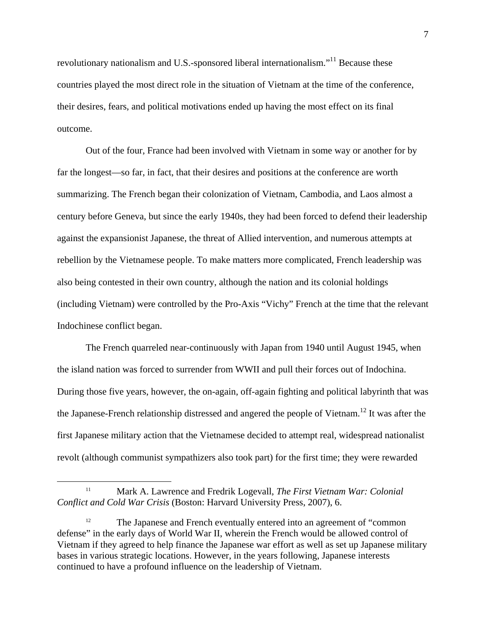revolutionary nationalism and U.S.-sponsored liberal internationalism."11 Because these countries played the most direct role in the situation of Vietnam at the time of the conference, their desires, fears, and political motivations ended up having the most effect on its final outcome.

Out of the four, France had been involved with Vietnam in some way or another for by far the longest—so far, in fact, that their desires and positions at the conference are worth summarizing. The French began their colonization of Vietnam, Cambodia, and Laos almost a century before Geneva, but since the early 1940s, they had been forced to defend their leadership against the expansionist Japanese, the threat of Allied intervention, and numerous attempts at rebellion by the Vietnamese people. To make matters more complicated, French leadership was also being contested in their own country, although the nation and its colonial holdings (including Vietnam) were controlled by the Pro-Axis "Vichy" French at the time that the relevant Indochinese conflict began.

The French quarreled near-continuously with Japan from 1940 until August 1945, when the island nation was forced to surrender from WWII and pull their forces out of Indochina. During those five years, however, the on-again, off-again fighting and political labyrinth that was the Japanese-French relationship distressed and angered the people of Vietnam.12 It was after the first Japanese military action that the Vietnamese decided to attempt real, widespread nationalist revolt (although communist sympathizers also took part) for the first time; they were rewarded

 <sup>11</sup> Mark A. Lawrence and Fredrik Logevall, *The First Vietnam War: Colonial Conflict and Cold War Crisis* (Boston: Harvard University Press, 2007), 6.

<sup>&</sup>lt;sup>12</sup> The Japanese and French eventually entered into an agreement of "common" defense" in the early days of World War II, wherein the French would be allowed control of Vietnam if they agreed to help finance the Japanese war effort as well as set up Japanese military bases in various strategic locations. However, in the years following, Japanese interests continued to have a profound influence on the leadership of Vietnam.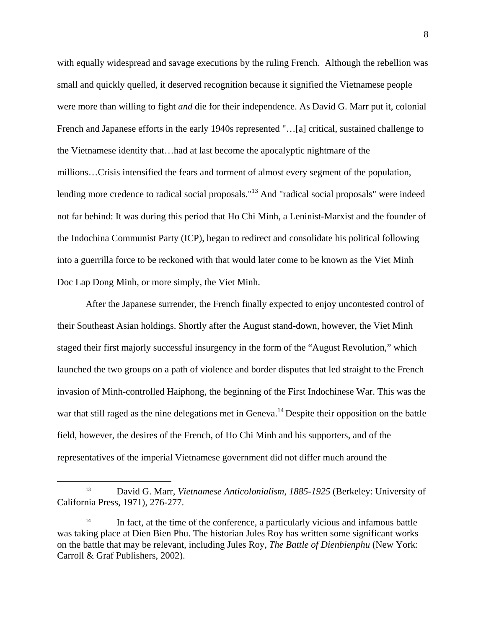with equally widespread and savage executions by the ruling French. Although the rebellion was small and quickly quelled, it deserved recognition because it signified the Vietnamese people were more than willing to fight *and* die for their independence. As David G. Marr put it, colonial French and Japanese efforts in the early 1940s represented "…[a] critical, sustained challenge to the Vietnamese identity that…had at last become the apocalyptic nightmare of the millions…Crisis intensified the fears and torment of almost every segment of the population, lending more credence to radical social proposals."<sup>13</sup> And "radical social proposals" were indeed not far behind: It was during this period that Ho Chi Minh, a Leninist-Marxist and the founder of the Indochina Communist Party (ICP), began to redirect and consolidate his political following into a guerrilla force to be reckoned with that would later come to be known as the Viet Minh Doc Lap Dong Minh, or more simply, the Viet Minh.

After the Japanese surrender, the French finally expected to enjoy uncontested control of their Southeast Asian holdings. Shortly after the August stand-down, however, the Viet Minh staged their first majorly successful insurgency in the form of the "August Revolution," which launched the two groups on a path of violence and border disputes that led straight to the French invasion of Minh-controlled Haiphong, the beginning of the First Indochinese War. This was the war that still raged as the nine delegations met in Geneva.<sup>14</sup> Despite their opposition on the battle field, however, the desires of the French, of Ho Chi Minh and his supporters, and of the representatives of the imperial Vietnamese government did not differ much around the

 <sup>13</sup> David G. Marr, *Vietnamese Anticolonialism, 1885-1925* (Berkeley: University of California Press, 1971), 276-277.

<sup>&</sup>lt;sup>14</sup> In fact, at the time of the conference, a particularly vicious and infamous battle was taking place at Dien Bien Phu. The historian Jules Roy has written some significant works on the battle that may be relevant, including Jules Roy, *The Battle of Dienbienphu* (New York: Carroll & Graf Publishers, 2002).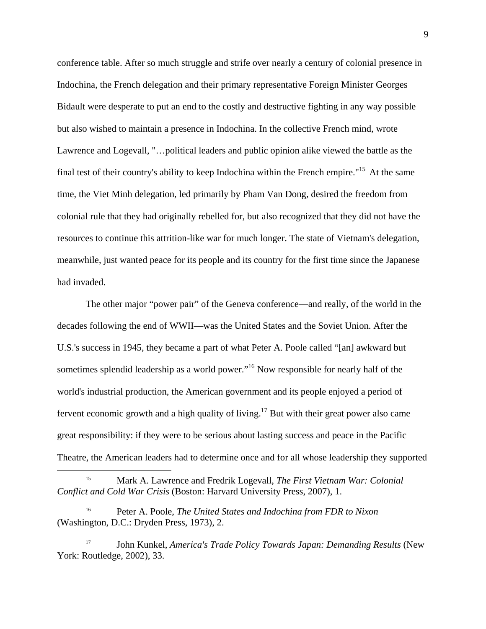conference table. After so much struggle and strife over nearly a century of colonial presence in Indochina, the French delegation and their primary representative Foreign Minister Georges Bidault were desperate to put an end to the costly and destructive fighting in any way possible but also wished to maintain a presence in Indochina. In the collective French mind, wrote Lawrence and Logevall, "…political leaders and public opinion alike viewed the battle as the final test of their country's ability to keep Indochina within the French empire."15 At the same time, the Viet Minh delegation, led primarily by Pham Van Dong, desired the freedom from colonial rule that they had originally rebelled for, but also recognized that they did not have the resources to continue this attrition-like war for much longer. The state of Vietnam's delegation, meanwhile, just wanted peace for its people and its country for the first time since the Japanese had invaded.

The other major "power pair" of the Geneva conference—and really, of the world in the decades following the end of WWII—was the United States and the Soviet Union. After the U.S.'s success in 1945, they became a part of what Peter A. Poole called "[an] awkward but sometimes splendid leadership as a world power."<sup>16</sup> Now responsible for nearly half of the world's industrial production, the American government and its people enjoyed a period of fervent economic growth and a high quality of living.<sup>17</sup> But with their great power also came great responsibility: if they were to be serious about lasting success and peace in the Pacific Theatre, the American leaders had to determine once and for all whose leadership they supported

<sup>17</sup> John Kunkel, *America's Trade Policy Towards Japan: Demanding Results* (New York: Routledge, 2002), 33.

 <sup>15</sup> Mark A. Lawrence and Fredrik Logevall, *The First Vietnam War: Colonial Conflict and Cold War Crisis* (Boston: Harvard University Press, 2007), 1.

<sup>16</sup> Peter A. Poole, *The United States and Indochina from FDR to Nixon*  (Washington, D.C.: Dryden Press, 1973), 2.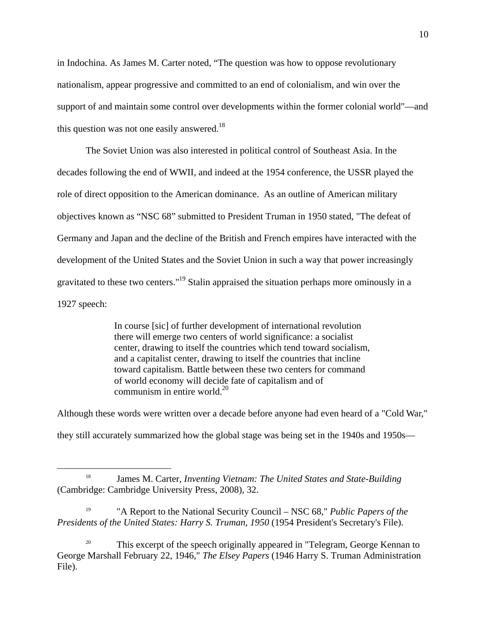in Indochina. As James M. Carter noted, "The question was how to oppose revolutionary nationalism, appear progressive and committed to an end of colonialism, and win over the support of and maintain some control over developments within the former colonial world"—and this question was not one easily answered.<sup>18</sup>

The Soviet Union was also interested in political control of Southeast Asia. In the decades following the end of WWII, and indeed at the 1954 conference, the USSR played the role of direct opposition to the American dominance. As an outline of American military objectives known as "NSC 68" submitted to President Truman in 1950 stated, "The defeat of Germany and Japan and the decline of the British and French empires have interacted with the development of the United States and the Soviet Union in such a way that power increasingly gravitated to these two centers."19 Stalin appraised the situation perhaps more ominously in a 1927 speech:

> In course [sic] of further development of international revolution there will emerge two centers of world significance: a socialist center, drawing to itself the countries which tend toward socialism, and a capitalist center, drawing to itself the countries that incline toward capitalism. Battle between these two centers for command of world economy will decide fate of capitalism and of communism in entire world. $^{20}$

Although these words were written over a decade before anyone had even heard of a "Cold War," they still accurately summarized how the global stage was being set in the 1940s and 1950s—

 <sup>18</sup> James M. Carter, *Inventing Vietnam: The United States and State-Building* (Cambridge: Cambridge University Press, 2008), 32.

<sup>19 &</sup>quot;A Report to the National Security Council – NSC 68," *Public Papers of the Presidents of the United States: Harry S. Truman, 1950* (1954 President's Secretary's File).

<sup>&</sup>lt;sup>20</sup> This excerpt of the speech originally appeared in "Telegram, George Kennan to George Marshall February 22, 1946," *The Elsey Papers* (1946 Harry S. Truman Administration File).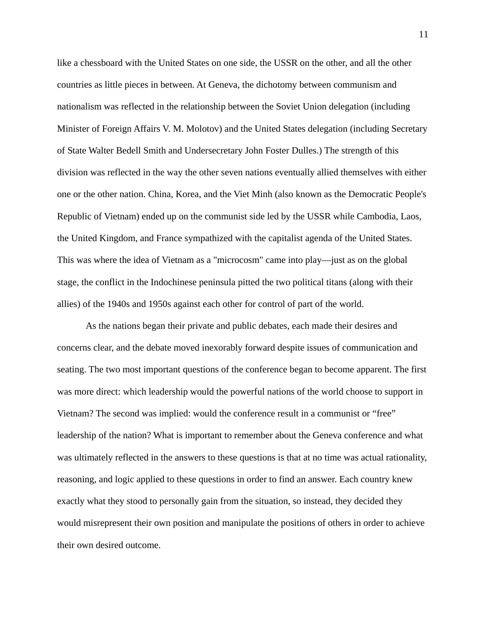like a chessboard with the United States on one side, the USSR on the other, and all the other countries as little pieces in between. At Geneva, the dichotomy between communism and nationalism was reflected in the relationship between the Soviet Union delegation (including Minister of Foreign Affairs V. M. Molotov) and the United States delegation (including Secretary of State Walter Bedell Smith and Undersecretary John Foster Dulles.) The strength of this division was reflected in the way the other seven nations eventually allied themselves with either one or the other nation. China, Korea, and the Viet Minh (also known as the Democratic People's Republic of Vietnam) ended up on the communist side led by the USSR while Cambodia, Laos, the United Kingdom, and France sympathized with the capitalist agenda of the United States. This was where the idea of Vietnam as a "microcosm" came into play—just as on the global stage, the conflict in the Indochinese peninsula pitted the two political titans (along with their allies) of the 1940s and 1950s against each other for control of part of the world.

 As the nations began their private and public debates, each made their desires and concerns clear, and the debate moved inexorably forward despite issues of communication and seating. The two most important questions of the conference began to become apparent. The first was more direct: which leadership would the powerful nations of the world choose to support in Vietnam? The second was implied: would the conference result in a communist or "free" leadership of the nation? What is important to remember about the Geneva conference and what was ultimately reflected in the answers to these questions is that at no time was actual rationality, reasoning, and logic applied to these questions in order to find an answer. Each country knew exactly what they stood to personally gain from the situation, so instead, they decided they would misrepresent their own position and manipulate the positions of others in order to achieve their own desired outcome.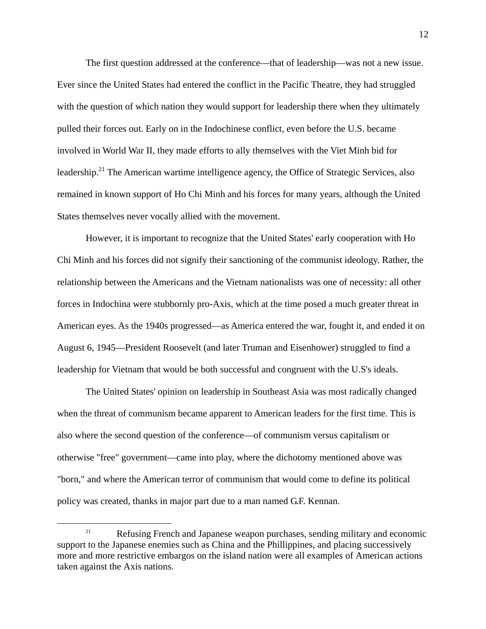The first question addressed at the conference—that of leadership—was not a new issue. Ever since the United States had entered the conflict in the Pacific Theatre, they had struggled with the question of which nation they would support for leadership there when they ultimately pulled their forces out. Early on in the Indochinese conflict, even before the U.S. became involved in World War II, they made efforts to ally themselves with the Viet Minh bid for leadership.<sup>21</sup> The American wartime intelligence agency, the Office of Strategic Services, also remained in known support of Ho Chi Minh and his forces for many years, although the United States themselves never vocally allied with the movement.

However, it is important to recognize that the United States' early cooperation with Ho Chi Minh and his forces did not signify their sanctioning of the communist ideology. Rather, the relationship between the Americans and the Vietnam nationalists was one of necessity: all other forces in Indochina were stubbornly pro-Axis, which at the time posed a much greater threat in American eyes. As the 1940s progressed—as America entered the war, fought it, and ended it on August 6, 1945—President Roosevelt (and later Truman and Eisenhower) struggled to find a leadership for Vietnam that would be both successful and congruent with the U.S's ideals.

The United States' opinion on leadership in Southeast Asia was most radically changed when the threat of communism became apparent to American leaders for the first time. This is also where the second question of the conference—of communism versus capitalism or otherwise "free" government—came into play, where the dichotomy mentioned above was "born," and where the American terror of communism that would come to define its political policy was created, thanks in major part due to a man named G.F. Kennan.

<sup>&</sup>lt;sup>21</sup> Refusing French and Japanese weapon purchases, sending military and economic support to the Japanese enemies such as China and the Phillippines, and placing successively more and more restrictive embargos on the island nation were all examples of American actions taken against the Axis nations.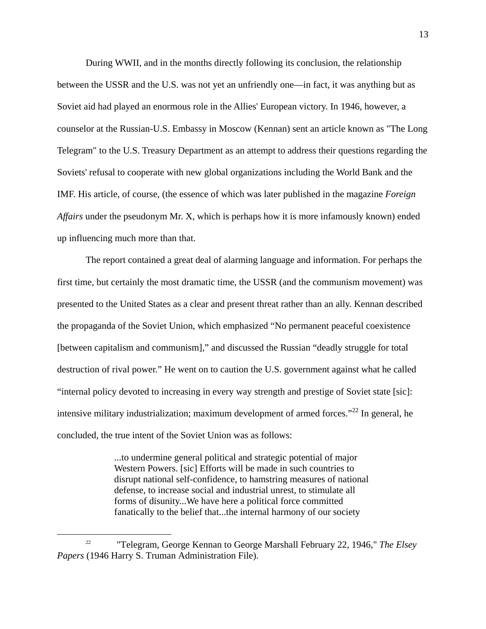During WWII, and in the months directly following its conclusion, the relationship between the USSR and the U.S. was not yet an unfriendly one—in fact, it was anything but as Soviet aid had played an enormous role in the Allies' European victory. In 1946, however, a counselor at the Russian-U.S. Embassy in Moscow (Kennan) sent an article known as "The Long Telegram" to the U.S. Treasury Department as an attempt to address their questions regarding the Soviets' refusal to cooperate with new global organizations including the World Bank and the IMF. His article, of course, (the essence of which was later published in the magazine *Foreign Affairs* under the pseudonym Mr. X, which is perhaps how it is more infamously known) ended up influencing much more than that.

The report contained a great deal of alarming language and information. For perhaps the first time, but certainly the most dramatic time, the USSR (and the communism movement) was presented to the United States as a clear and present threat rather than an ally. Kennan described the propaganda of the Soviet Union, which emphasized "No permanent peaceful coexistence [between capitalism and communism]," and discussed the Russian "deadly struggle for total destruction of rival power." He went on to caution the U.S. government against what he called "internal policy devoted to increasing in every way strength and prestige of Soviet state [sic]: intensive military industrialization; maximum development of armed forces."<sup>22</sup> In general, he concluded, the true intent of the Soviet Union was as follows:

> ...to undermine general political and strategic potential of major Western Powers. [sic] Efforts will be made in such countries to disrupt national self-confidence, to hamstring measures of national defense, to increase social and industrial unrest, to stimulate all forms of disunity...We have here a political force committed fanatically to the belief that...the internal harmony of our society

 <sup>22 &</sup>quot;Telegram, George Kennan to George Marshall February 22, 1946," *The Elsey Papers* (1946 Harry S. Truman Administration File).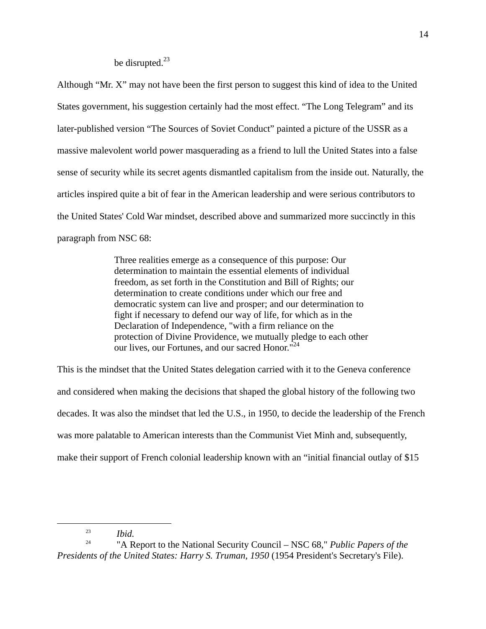## be disrupted.<sup>23</sup>

Although "Mr. X" may not have been the first person to suggest this kind of idea to the United States government, his suggestion certainly had the most effect. "The Long Telegram" and its later-published version "The Sources of Soviet Conduct" painted a picture of the USSR as a massive malevolent world power masquerading as a friend to lull the United States into a false sense of security while its secret agents dismantled capitalism from the inside out. Naturally, the articles inspired quite a bit of fear in the American leadership and were serious contributors to the United States' Cold War mindset, described above and summarized more succinctly in this paragraph from NSC 68:

> Three realities emerge as a consequence of this purpose: Our determination to maintain the essential elements of individual freedom, as set forth in the Constitution and Bill of Rights; our determination to create conditions under which our free and democratic system can live and prosper; and our determination to fight if necessary to defend our way of life, for which as in the Declaration of Independence, "with a firm reliance on the protection of Divine Providence, we mutually pledge to each other our lives, our Fortunes, and our sacred Honor."<sup>24</sup>

This is the mindset that the United States delegation carried with it to the Geneva conference and considered when making the decisions that shaped the global history of the following two decades. It was also the mindset that led the U.S., in 1950, to decide the leadership of the French was more palatable to American interests than the Communist Viet Minh and, subsequently, make their support of French colonial leadership known with an "initial financial outlay of \$15

 <sup>23</sup> *Ibid.* 

<sup>&</sup>lt;sup>24</sup> "A Report to the National Security Council – NSC 68," *Public Papers of the Presidents of the United States: Harry S. Truman, 1950* (1954 President's Secretary's File).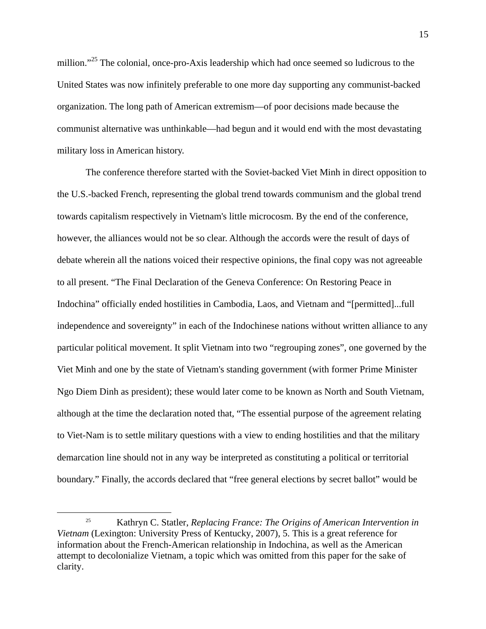million."<sup>25</sup> The colonial, once-pro-Axis leadership which had once seemed so ludicrous to the United States was now infinitely preferable to one more day supporting any communist-backed organization. The long path of American extremism—of poor decisions made because the communist alternative was unthinkable—had begun and it would end with the most devastating military loss in American history.

 The conference therefore started with the Soviet-backed Viet Minh in direct opposition to the U.S.-backed French, representing the global trend towards communism and the global trend towards capitalism respectively in Vietnam's little microcosm. By the end of the conference, however, the alliances would not be so clear. Although the accords were the result of days of debate wherein all the nations voiced their respective opinions, the final copy was not agreeable to all present. "The Final Declaration of the Geneva Conference: On Restoring Peace in Indochina" officially ended hostilities in Cambodia, Laos, and Vietnam and "[permitted]...full independence and sovereignty" in each of the Indochinese nations without written alliance to any particular political movement. It split Vietnam into two "regrouping zones", one governed by the Viet Minh and one by the state of Vietnam's standing government (with former Prime Minister Ngo Diem Dinh as president); these would later come to be known as North and South Vietnam, although at the time the declaration noted that, "The essential purpose of the agreement relating to Viet-Nam is to settle military questions with a view to ending hostilities and that the military demarcation line should not in any way be interpreted as constituting a political or territorial boundary." Finally, the accords declared that "free general elections by secret ballot" would be

 <sup>25</sup> Kathryn C. Statler, *Replacing France: The Origins of American Intervention in Vietnam* (Lexington: University Press of Kentucky, 2007), 5. This is a great reference for information about the French-American relationship in Indochina, as well as the American attempt to decolonialize Vietnam, a topic which was omitted from this paper for the sake of clarity.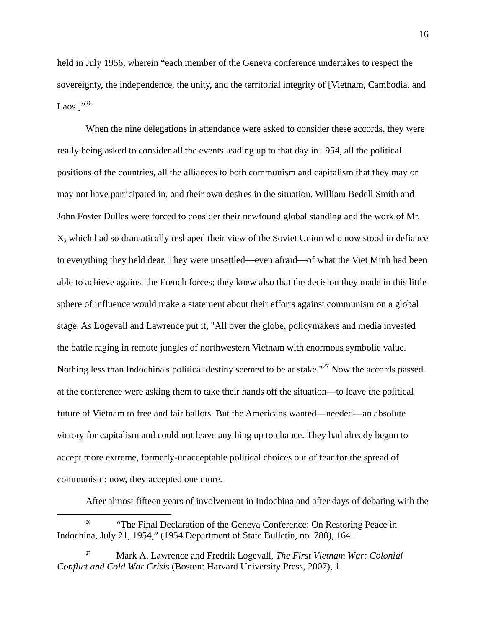held in July 1956, wherein "each member of the Geneva conference undertakes to respect the sovereignty, the independence, the unity, and the territorial integrity of [Vietnam, Cambodia, and Laos.<sup>1</sup>"<sup>26</sup>

 When the nine delegations in attendance were asked to consider these accords, they were really being asked to consider all the events leading up to that day in 1954, all the political positions of the countries, all the alliances to both communism and capitalism that they may or may not have participated in, and their own desires in the situation. William Bedell Smith and John Foster Dulles were forced to consider their newfound global standing and the work of Mr. X, which had so dramatically reshaped their view of the Soviet Union who now stood in defiance to everything they held dear. They were unsettled—even afraid—of what the Viet Minh had been able to achieve against the French forces; they knew also that the decision they made in this little sphere of influence would make a statement about their efforts against communism on a global stage. As Logevall and Lawrence put it, "All over the globe, policymakers and media invested the battle raging in remote jungles of northwestern Vietnam with enormous symbolic value. Nothing less than Indochina's political destiny seemed to be at stake."<sup>27</sup> Now the accords passed at the conference were asking them to take their hands off the situation—to leave the political future of Vietnam to free and fair ballots. But the Americans wanted—needed—an absolute victory for capitalism and could not leave anything up to chance. They had already begun to accept more extreme, formerly-unacceptable political choices out of fear for the spread of communism; now, they accepted one more.

After almost fifteen years of involvement in Indochina and after days of debating with the

<sup>&</sup>lt;sup>26</sup> "The Final Declaration of the Geneva Conference: On Restoring Peace in Indochina, July 21, 1954," (1954 Department of State Bulletin, no. 788), 164.

<sup>27</sup> Mark A. Lawrence and Fredrik Logevall, *The First Vietnam War: Colonial Conflict and Cold War Crisis* (Boston: Harvard University Press, 2007), 1.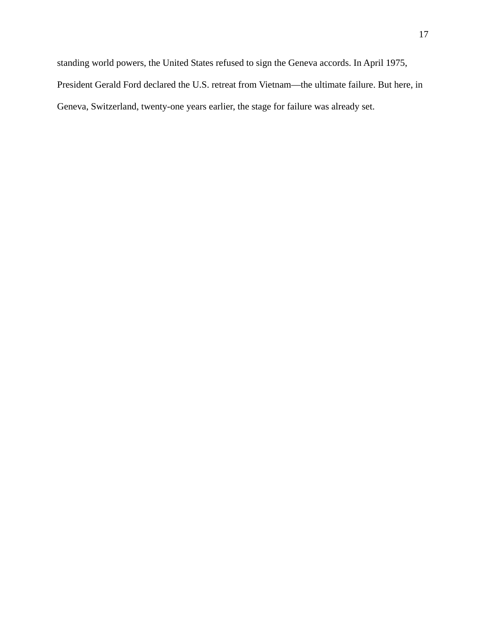standing world powers, the United States refused to sign the Geneva accords. In April 1975, President Gerald Ford declared the U.S. retreat from Vietnam—the ultimate failure. But here, in Geneva, Switzerland, twenty-one years earlier, the stage for failure was already set.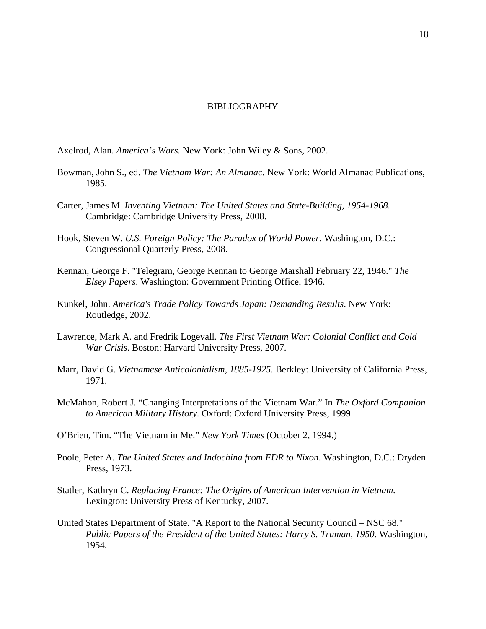## BIBLIOGRAPHY

Axelrod, Alan. *America's Wars.* New York: John Wiley & Sons, 2002.

- Bowman, John S., ed. *The Vietnam War: An Almanac.* New York: World Almanac Publications, 1985.
- Carter, James M. *Inventing Vietnam: The United States and State-Building, 1954-1968.*  Cambridge: Cambridge University Press, 2008.
- Hook, Steven W. *U.S. Foreign Policy: The Paradox of World Power*. Washington, D.C.: Congressional Quarterly Press, 2008.
- Kennan, George F. "Telegram, George Kennan to George Marshall February 22, 1946." *The Elsey Papers*. Washington: Government Printing Office, 1946.
- Kunkel, John. *America's Trade Policy Towards Japan: Demanding Results*. New York: Routledge, 2002.
- Lawrence, Mark A. and Fredrik Logevall. *The First Vietnam War: Colonial Conflict and Cold War Crisis*. Boston: Harvard University Press, 2007.
- Marr, David G. *Vietnamese Anticolonialism, 1885-1925*. Berkley: University of California Press, 1971.
- McMahon, Robert J. "Changing Interpretations of the Vietnam War." In *The Oxford Companion to American Military History.* Oxford: Oxford University Press, 1999.
- O'Brien, Tim. "The Vietnam in Me." *New York Times* (October 2, 1994.)
- Poole, Peter A. *The United States and Indochina from FDR to Nixon*. Washington, D.C.: Dryden Press, 1973.
- Statler, Kathryn C. *Replacing France: The Origins of American Intervention in Vietnam.* Lexington: University Press of Kentucky, 2007.
- United States Department of State. "A Report to the National Security Council NSC 68." *Public Papers of the President of the United States: Harry S. Truman, 1950.* Washington, 1954.